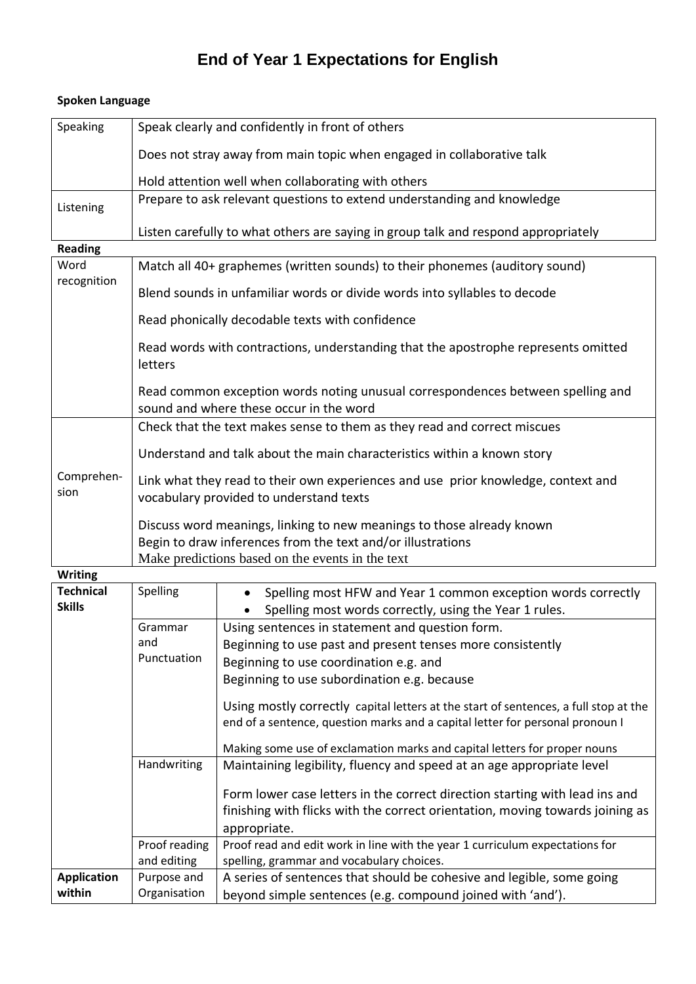## **End of Year 1 Expectations for English**

| Speaking              | Speak clearly and confidently in front of others                                                                                     |  |  |  |
|-----------------------|--------------------------------------------------------------------------------------------------------------------------------------|--|--|--|
|                       |                                                                                                                                      |  |  |  |
|                       | Does not stray away from main topic when engaged in collaborative talk                                                               |  |  |  |
|                       | Hold attention well when collaborating with others                                                                                   |  |  |  |
| Listening             | Prepare to ask relevant questions to extend understanding and knowledge                                                              |  |  |  |
|                       | Listen carefully to what others are saying in group talk and respond appropriately                                                   |  |  |  |
| <b>Reading</b>        |                                                                                                                                      |  |  |  |
| Word<br>recognition   | Match all 40+ graphemes (written sounds) to their phonemes (auditory sound)                                                          |  |  |  |
|                       | Blend sounds in unfamiliar words or divide words into syllables to decode                                                            |  |  |  |
|                       | Read phonically decodable texts with confidence                                                                                      |  |  |  |
|                       | Read words with contractions, understanding that the apostrophe represents omitted<br>letters                                        |  |  |  |
|                       | Read common exception words noting unusual correspondences between spelling and<br>sound and where these occur in the word           |  |  |  |
|                       | Check that the text makes sense to them as they read and correct miscues                                                             |  |  |  |
|                       | Understand and talk about the main characteristics within a known story                                                              |  |  |  |
| Comprehen-<br>sion    | Link what they read to their own experiences and use prior knowledge, context and<br>vocabulary provided to understand texts         |  |  |  |
|                       | Discuss word meanings, linking to new meanings to those already known<br>Begin to draw inferences from the text and/or illustrations |  |  |  |
|                       | Make predictions based on the events in the text                                                                                     |  |  |  |
| <i><u>Mritino</u></i> |                                                                                                                                      |  |  |  |

## **Spoken Language**

| <b>Writing</b>     |                |                                                                                                                                                                       |
|--------------------|----------------|-----------------------------------------------------------------------------------------------------------------------------------------------------------------------|
| <b>Technical</b>   | Spelling       | Spelling most HFW and Year 1 common exception words correctly                                                                                                         |
| <b>Skills</b>      |                | Spelling most words correctly, using the Year 1 rules.                                                                                                                |
|                    | Grammar<br>and | Using sentences in statement and question form.<br>Beginning to use past and present tenses more consistently                                                         |
|                    | Punctuation    | Beginning to use coordination e.g. and                                                                                                                                |
|                    |                | Beginning to use subordination e.g. because                                                                                                                           |
|                    |                | Using mostly correctly capital letters at the start of sentences, a full stop at the<br>end of a sentence, question marks and a capital letter for personal pronoun I |
|                    |                | Making some use of exclamation marks and capital letters for proper nouns                                                                                             |
|                    | Handwriting    | Maintaining legibility, fluency and speed at an age appropriate level                                                                                                 |
|                    |                | Form lower case letters in the correct direction starting with lead ins and                                                                                           |
|                    |                | finishing with flicks with the correct orientation, moving towards joining as                                                                                         |
|                    |                | appropriate.                                                                                                                                                          |
|                    | Proof reading  | Proof read and edit work in line with the year 1 curriculum expectations for                                                                                          |
|                    | and editing    | spelling, grammar and vocabulary choices.                                                                                                                             |
| <b>Application</b> | Purpose and    | A series of sentences that should be cohesive and legible, some going                                                                                                 |
| within             | Organisation   | beyond simple sentences (e.g. compound joined with 'and').                                                                                                            |